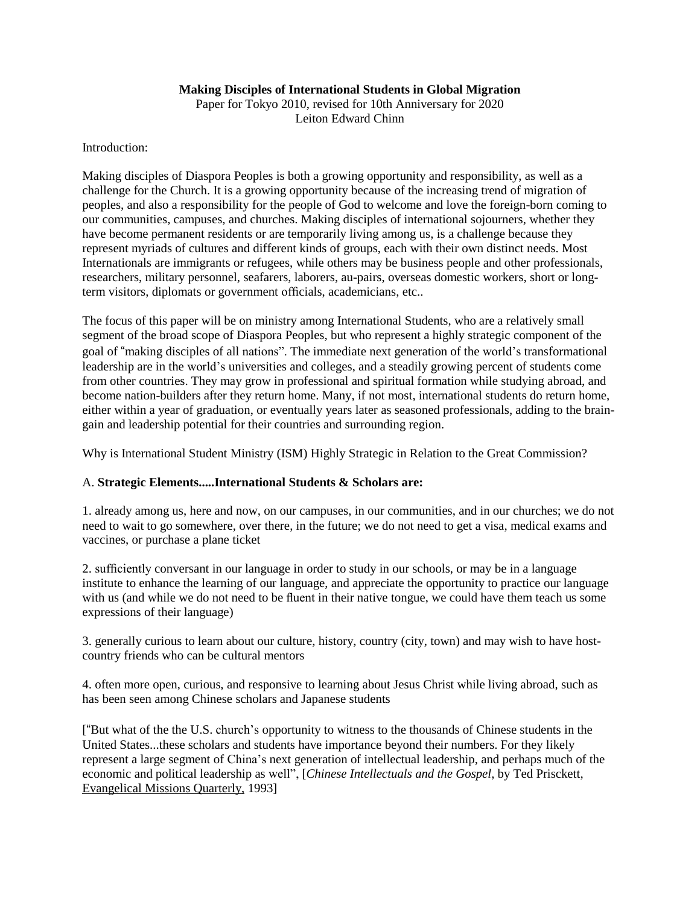### **Making Disciples of International Students in Global Migration**

Paper for Tokyo 2010, revised for 10th Anniversary for 2020 Leiton Edward Chinn

Introduction:

Making disciples of Diaspora Peoples is both a growing opportunity and responsibility, as well as a challenge for the Church. It is a growing opportunity because of the increasing trend of migration of peoples, and also a responsibility for the people of God to welcome and love the foreign-born coming to our communities, campuses, and churches. Making disciples of international sojourners, whether they have become permanent residents or are temporarily living among us, is a challenge because they represent myriads of cultures and different kinds of groups, each with their own distinct needs. Most Internationals are immigrants or refugees, while others may be business people and other professionals, researchers, military personnel, seafarers, laborers, au-pairs, overseas domestic workers, short or longterm visitors, diplomats or government officials, academicians, etc..

The focus of this paper will be on ministry among International Students, who are a relatively small segment of the broad scope of Diaspora Peoples, but who represent a highly strategic component of the goal of "making disciples of all nations". The immediate next generation of the world's transformational leadership are in the world's universities and colleges, and a steadily growing percent of students come from other countries. They may grow in professional and spiritual formation while studying abroad, and become nation-builders after they return home. Many, if not most, international students do return home, either within a year of graduation, or eventually years later as seasoned professionals, adding to the braingain and leadership potential for their countries and surrounding region.

Why is International Student Ministry (ISM) Highly Strategic in Relation to the Great Commission?

### A. **Strategic Elements.....International Students & Scholars are:**

1. already among us, here and now, on our campuses, in our communities, and in our churches; we do not need to wait to go somewhere, over there, in the future; we do not need to get a visa, medical exams and vaccines, or purchase a plane ticket

2. sufficiently conversant in our language in order to study in our schools, or may be in a language institute to enhance the learning of our language, and appreciate the opportunity to practice our language with us (and while we do not need to be fluent in their native tongue, we could have them teach us some expressions of their language)

3. generally curious to learn about our culture, history, country (city, town) and may wish to have hostcountry friends who can be cultural mentors

4. often more open, curious, and responsive to learning about Jesus Christ while living abroad, such as has been seen among Chinese scholars and Japanese students

["But what of the the U.S. church's opportunity to witness to the thousands of Chinese students in the United States...these scholars and students have importance beyond their numbers. For they likely represent a large segment of China's next generation of intellectual leadership, and perhaps much of the economic and political leadership as well", [*Chinese Intellectuals and the Gospel*, by Ted Prisckett, Evangelical Missions Quarterly, 1993]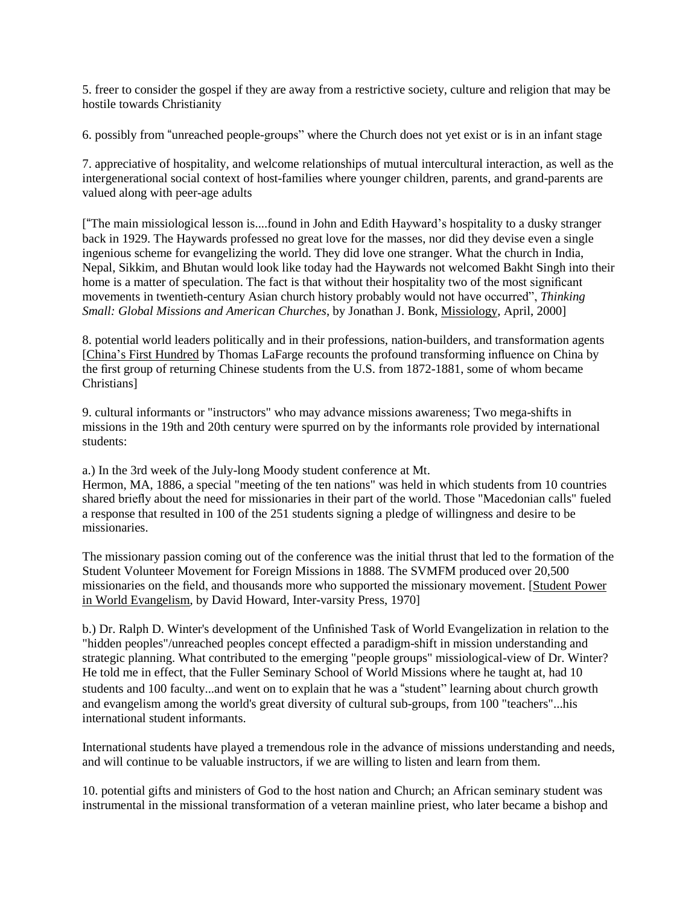5. freer to consider the gospel if they are away from a restrictive society, culture and religion that may be hostile towards Christianity

6. possibly from "unreached people-groups" where the Church does not yet exist or is in an infant stage

7. appreciative of hospitality, and welcome relationships of mutual intercultural interaction, as well as the intergenerational social context of host-families where younger children, parents, and grand-parents are valued along with peer-age adults

["The main missiological lesson is....found in John and Edith Hayward's hospitality to a dusky stranger back in 1929. The Haywards professed no great love for the masses, nor did they devise even a single ingenious scheme for evangelizing the world. They did love one stranger. What the church in India, Nepal, Sikkim, and Bhutan would look like today had the Haywards not welcomed Bakht Singh into their home is a matter of speculation. The fact is that without their hospitality two of the most significant movements in twentieth-century Asian church history probably would not have occurred", *Thinking Small: Global Missions and American Churches*, by Jonathan J. Bonk, Missiology, April, 2000]

8. potential world leaders politically and in their professions, nation-builders, and transformation agents [China's First Hundred by Thomas LaFarge recounts the profound transforming influence on China by the first group of returning Chinese students from the U.S. from 1872-1881, some of whom became Christians]

9. cultural informants or "instructors" who may advance missions awareness; Two mega-shifts in missions in the 19th and 20th century were spurred on by the informants role provided by international students:

a.) In the 3rd week of the July-long Moody student conference at Mt.

Hermon, MA, 1886, a special "meeting of the ten nations" was held in which students from 10 countries shared briefly about the need for missionaries in their part of the world. Those "Macedonian calls" fueled a response that resulted in 100 of the 251 students signing a pledge of willingness and desire to be missionaries.

The missionary passion coming out of the conference was the initial thrust that led to the formation of the Student Volunteer Movement for Foreign Missions in 1888. The SVMFM produced over 20,500 missionaries on the field, and thousands more who supported the missionary movement. [Student Power in World Evangelism, by David Howard, Inter-varsity Press, 1970]

b.) Dr. Ralph D. Winter's development of the Unfinished Task of World Evangelization in relation to the "hidden peoples"/unreached peoples concept effected a paradigm-shift in mission understanding and strategic planning. What contributed to the emerging "people groups" missiological-view of Dr. Winter? He told me in effect, that the Fuller Seminary School of World Missions where he taught at, had 10 students and 100 faculty...and went on to explain that he was a "student" learning about church growth and evangelism among the world's great diversity of cultural sub-groups, from 100 "teachers"...his international student informants.

International students have played a tremendous role in the advance of missions understanding and needs, and will continue to be valuable instructors, if we are willing to listen and learn from them.

10. potential gifts and ministers of God to the host nation and Church; an African seminary student was instrumental in the missional transformation of a veteran mainline priest, who later became a bishop and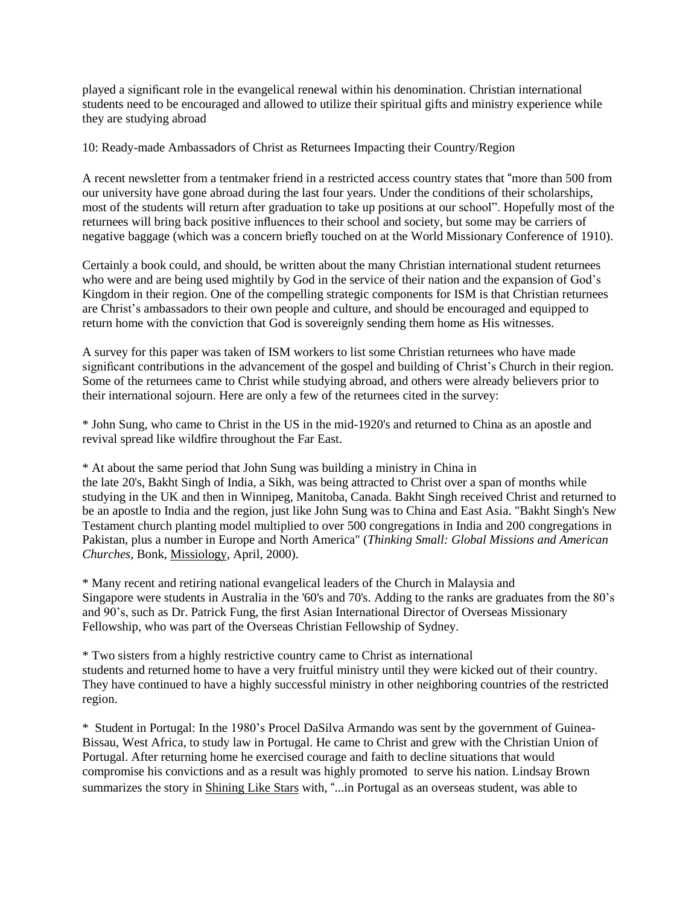played a significant role in the evangelical renewal within his denomination. Christian international students need to be encouraged and allowed to utilize their spiritual gifts and ministry experience while they are studying abroad

10: Ready-made Ambassadors of Christ as Returnees Impacting their Country/Region

A recent newsletter from a tentmaker friend in a restricted access country states that "more than 500 from our university have gone abroad during the last four years. Under the conditions of their scholarships, most of the students will return after graduation to take up positions at our school". Hopefully most of the returnees will bring back positive influences to their school and society, but some may be carriers of negative baggage (which was a concern briefly touched on at the World Missionary Conference of 1910).

Certainly a book could, and should, be written about the many Christian international student returnees who were and are being used mightily by God in the service of their nation and the expansion of God's Kingdom in their region. One of the compelling strategic components for ISM is that Christian returnees are Christ's ambassadors to their own people and culture, and should be encouraged and equipped to return home with the conviction that God is sovereignly sending them home as His witnesses.

A survey for this paper was taken of ISM workers to list some Christian returnees who have made significant contributions in the advancement of the gospel and building of Christ's Church in their region. Some of the returnees came to Christ while studying abroad, and others were already believers prior to their international sojourn. Here are only a few of the returnees cited in the survey:

\* John Sung, who came to Christ in the US in the mid-1920's and returned to China as an apostle and revival spread like wildfire throughout the Far East.

\* At about the same period that John Sung was building a ministry in China in the late 20's, Bakht Singh of India, a Sikh, was being attracted to Christ over a span of months while studying in the UK and then in Winnipeg, Manitoba, Canada. Bakht Singh received Christ and returned to be an apostle to India and the region, just like John Sung was to China and East Asia. "Bakht Singh's New Testament church planting model multiplied to over 500 congregations in India and 200 congregations in Pakistan, plus a number in Europe and North America" (*Thinking Small: Global Missions and American Churches*, Bonk, Missiology, April, 2000).

\* Many recent and retiring national evangelical leaders of the Church in Malaysia and Singapore were students in Australia in the '60's and 70's. Adding to the ranks are graduates from the 80's and 90's, such as Dr. Patrick Fung, the first Asian International Director of Overseas Missionary Fellowship, who was part of the Overseas Christian Fellowship of Sydney.

\* Two sisters from a highly restrictive country came to Christ as international students and returned home to have a very fruitful ministry until they were kicked out of their country. They have continued to have a highly successful ministry in other neighboring countries of the restricted region.

\* Student in Portugal: In the 1980's Procel DaSilva Armando was sent by the government of Guinea-Bissau, West Africa, to study law in Portugal. He came to Christ and grew with the Christian Union of Portugal. After returning home he exercised courage and faith to decline situations that would compromise his convictions and as a result was highly promoted to serve his nation. Lindsay Brown summarizes the story in Shining Like Stars with, "...in Portugal as an overseas student, was able to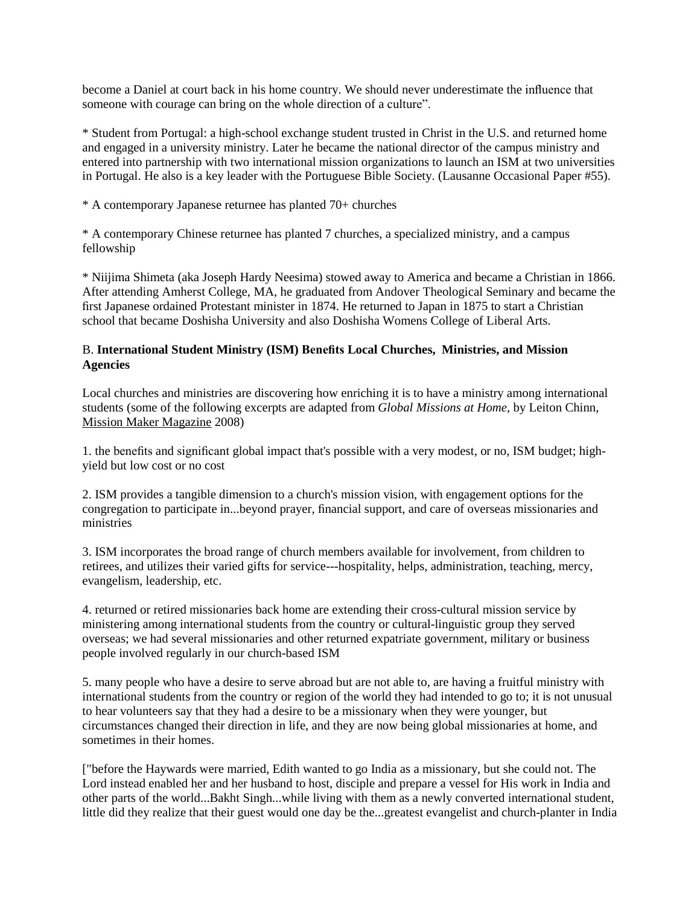become a Daniel at court back in his home country. We should never underestimate the influence that someone with courage can bring on the whole direction of a culture".

\* Student from Portugal: a high-school exchange student trusted in Christ in the U.S. and returned home and engaged in a university ministry. Later he became the national director of the campus ministry and entered into partnership with two international mission organizations to launch an ISM at two universities in Portugal. He also is a key leader with the Portuguese Bible Society. (Lausanne Occasional Paper #55).

\* A contemporary Japanese returnee has planted 70+ churches

\* A contemporary Chinese returnee has planted 7 churches, a specialized ministry, and a campus fellowship

\* Niijima Shimeta (aka Joseph Hardy Neesima) stowed away to America and became a Christian in 1866. After attending Amherst College, MA, he graduated from Andover Theological Seminary and became the first Japanese ordained Protestant minister in 1874. He returned to Japan in 1875 to start a Christian school that became Doshisha University and also Doshisha Womens College of Liberal Arts.

## B. **International Student Ministry (ISM) Benefits Local Churches, Ministries, and Mission Agencies**

Local churches and ministries are discovering how enriching it is to have a ministry among international students (some of the following excerpts are adapted from *Global Missions at Home*, by Leiton Chinn, Mission Maker Magazine 2008)

1. the benefits and significant global impact that's possible with a very modest, or no, ISM budget; highyield but low cost or no cost

2. ISM provides a tangible dimension to a church's mission vision, with engagement options for the congregation to participate in...beyond prayer, financial support, and care of overseas missionaries and ministries

3. ISM incorporates the broad range of church members available for involvement, from children to retirees, and utilizes their varied gifts for service---hospitality, helps, administration, teaching, mercy, evangelism, leadership, etc.

4. returned or retired missionaries back home are extending their cross-cultural mission service by ministering among international students from the country or cultural-linguistic group they served overseas; we had several missionaries and other returned expatriate government, military or business people involved regularly in our church-based ISM

5. many people who have a desire to serve abroad but are not able to, are having a fruitful ministry with international students from the country or region of the world they had intended to go to; it is not unusual to hear volunteers say that they had a desire to be a missionary when they were younger, but circumstances changed their direction in life, and they are now being global missionaries at home, and sometimes in their homes.

["before the Haywards were married, Edith wanted to go India as a missionary, but she could not. The Lord instead enabled her and her husband to host, disciple and prepare a vessel for His work in India and other parts of the world...Bakht Singh...while living with them as a newly converted international student, little did they realize that their guest would one day be the...greatest evangelist and church-planter in India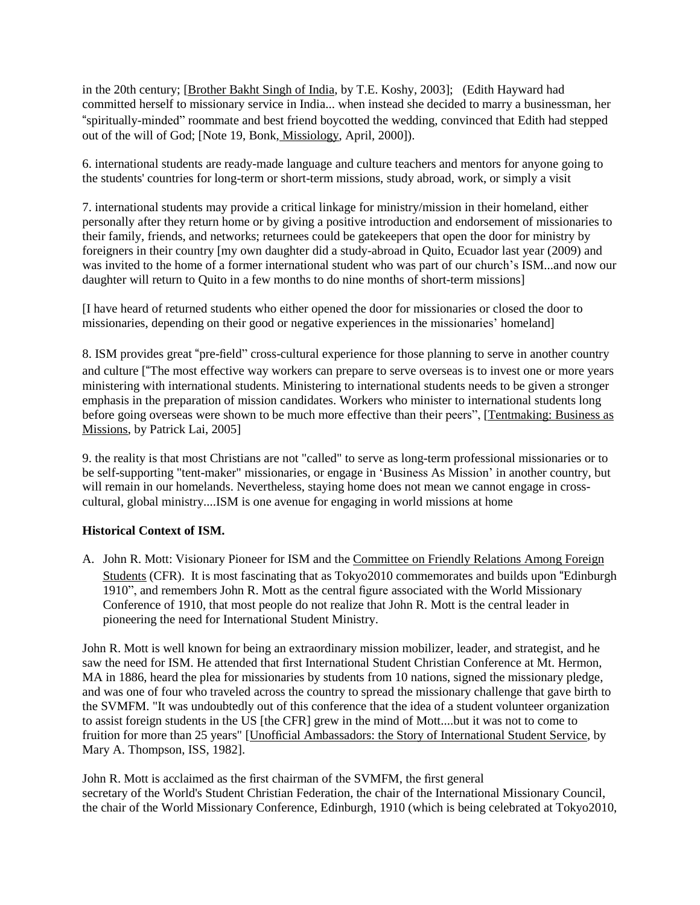in the 20th century; [Brother Bakht Singh of India, by T.E. Koshy, 2003]; (Edith Hayward had committed herself to missionary service in India... when instead she decided to marry a businessman, her "spiritually-minded" roommate and best friend boycotted the wedding, convinced that Edith had stepped out of the will of God; [Note 19, Bonk, Missiology, April, 2000]).

6. international students are ready-made language and culture teachers and mentors for anyone going to the students' countries for long-term or short-term missions, study abroad, work, or simply a visit

7. international students may provide a critical linkage for ministry/mission in their homeland, either personally after they return home or by giving a positive introduction and endorsement of missionaries to their family, friends, and networks; returnees could be gatekeepers that open the door for ministry by foreigners in their country [my own daughter did a study-abroad in Quito, Ecuador last year (2009) and was invited to the home of a former international student who was part of our church's ISM...and now our daughter will return to Quito in a few months to do nine months of short-term missions]

[I have heard of returned students who either opened the door for missionaries or closed the door to missionaries, depending on their good or negative experiences in the missionaries' homeland]

8. ISM provides great "pre-field" cross-cultural experience for those planning to serve in another country and culture ["The most effective way workers can prepare to serve overseas is to invest one or more years ministering with international students. Ministering to international students needs to be given a stronger emphasis in the preparation of mission candidates. Workers who minister to international students long before going overseas were shown to be much more effective than their peers", [Tentmaking: Business as Missions, by Patrick Lai, 2005]

9. the reality is that most Christians are not "called" to serve as long-term professional missionaries or to be self-supporting "tent-maker" missionaries, or engage in 'Business As Mission' in another country, but will remain in our homelands. Nevertheless, staying home does not mean we cannot engage in crosscultural, global ministry....ISM is one avenue for engaging in world missions at home

### **Historical Context of ISM.**

A. John R. Mott: Visionary Pioneer for ISM and the Committee on Friendly Relations Among Foreign Students (CFR). It is most fascinating that as Tokyo2010 commemorates and builds upon "Edinburgh 1910", and remembers John R. Mott as the central figure associated with the World Missionary Conference of 1910, that most people do not realize that John R. Mott is the central leader in pioneering the need for International Student Ministry.

John R. Mott is well known for being an extraordinary mission mobilizer, leader, and strategist, and he saw the need for ISM. He attended that first International Student Christian Conference at Mt. Hermon, MA in 1886, heard the plea for missionaries by students from 10 nations, signed the missionary pledge, and was one of four who traveled across the country to spread the missionary challenge that gave birth to the SVMFM. "It was undoubtedly out of this conference that the idea of a student volunteer organization to assist foreign students in the US [the CFR] grew in the mind of Mott....but it was not to come to fruition for more than 25 years" [Unofficial Ambassadors: the Story of International Student Service, by Mary A. Thompson, ISS, 1982].

John R. Mott is acclaimed as the first chairman of the SVMFM, the first general secretary of the World's Student Christian Federation, the chair of the International Missionary Council, the chair of the World Missionary Conference, Edinburgh, 1910 (which is being celebrated at Tokyo2010,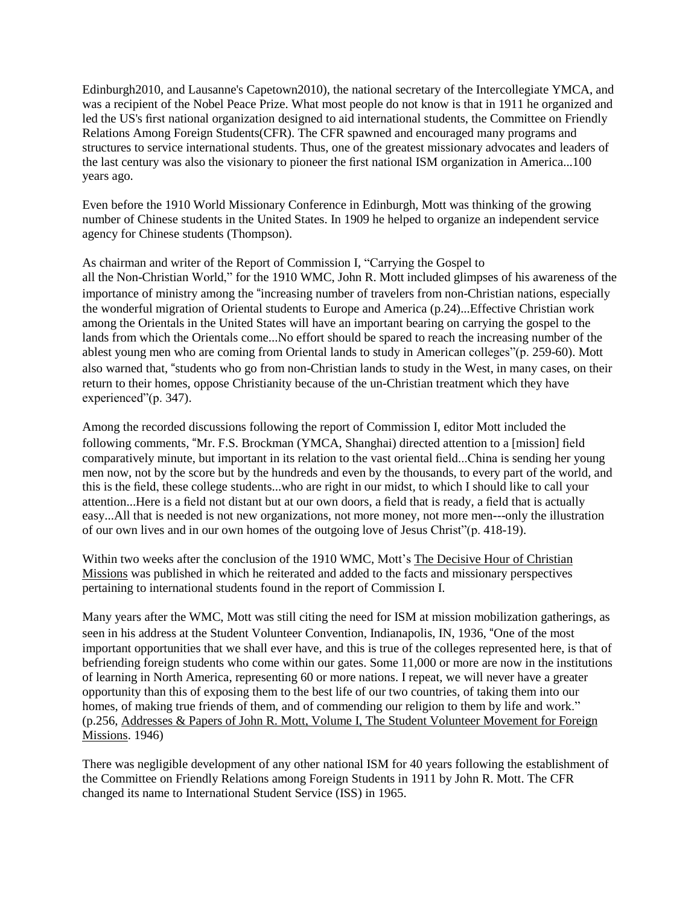Edinburgh2010, and Lausanne's Capetown2010), the national secretary of the Intercollegiate YMCA, and was a recipient of the Nobel Peace Prize. What most people do not know is that in 1911 he organized and led the US's first national organization designed to aid international students, the Committee on Friendly Relations Among Foreign Students(CFR). The CFR spawned and encouraged many programs and structures to service international students. Thus, one of the greatest missionary advocates and leaders of the last century was also the visionary to pioneer the first national ISM organization in America...100 years ago.

Even before the 1910 World Missionary Conference in Edinburgh, Mott was thinking of the growing number of Chinese students in the United States. In 1909 he helped to organize an independent service agency for Chinese students (Thompson).

As chairman and writer of the Report of Commission I, "Carrying the Gospel to all the Non-Christian World," for the 1910 WMC, John R. Mott included glimpses of his awareness of the importance of ministry among the "increasing number of travelers from non-Christian nations, especially the wonderful migration of Oriental students to Europe and America (p.24)...Effective Christian work among the Orientals in the United States will have an important bearing on carrying the gospel to the lands from which the Orientals come...No effort should be spared to reach the increasing number of the ablest young men who are coming from Oriental lands to study in American colleges"(p. 259-60). Mott also warned that, "students who go from non-Christian lands to study in the West, in many cases, on their return to their homes, oppose Christianity because of the un-Christian treatment which they have experienced"(p. 347).

Among the recorded discussions following the report of Commission I, editor Mott included the following comments, "Mr. F.S. Brockman (YMCA, Shanghai) directed attention to a [mission] field comparatively minute, but important in its relation to the vast oriental field...China is sending her young men now, not by the score but by the hundreds and even by the thousands, to every part of the world, and this is the field, these college students...who are right in our midst, to which I should like to call your attention...Here is a field not distant but at our own doors, a field that is ready, a field that is actually easy...All that is needed is not new organizations, not more money, not more men---only the illustration of our own lives and in our own homes of the outgoing love of Jesus Christ"(p. 418-19).

Within two weeks after the conclusion of the 1910 WMC, Mott's The Decisive Hour of Christian Missions was published in which he reiterated and added to the facts and missionary perspectives pertaining to international students found in the report of Commission I.

Many years after the WMC, Mott was still citing the need for ISM at mission mobilization gatherings, as seen in his address at the Student Volunteer Convention, Indianapolis, IN, 1936, "One of the most important opportunities that we shall ever have, and this is true of the colleges represented here, is that of befriending foreign students who come within our gates. Some 11,000 or more are now in the institutions of learning in North America, representing 60 or more nations. I repeat, we will never have a greater opportunity than this of exposing them to the best life of our two countries, of taking them into our homes, of making true friends of them, and of commending our religion to them by life and work." (p.256, Addresses & Papers of John R. Mott, Volume I, The Student Volunteer Movement for Foreign Missions. 1946)

There was negligible development of any other national ISM for 40 years following the establishment of the Committee on Friendly Relations among Foreign Students in 1911 by John R. Mott. The CFR changed its name to International Student Service (ISS) in 1965.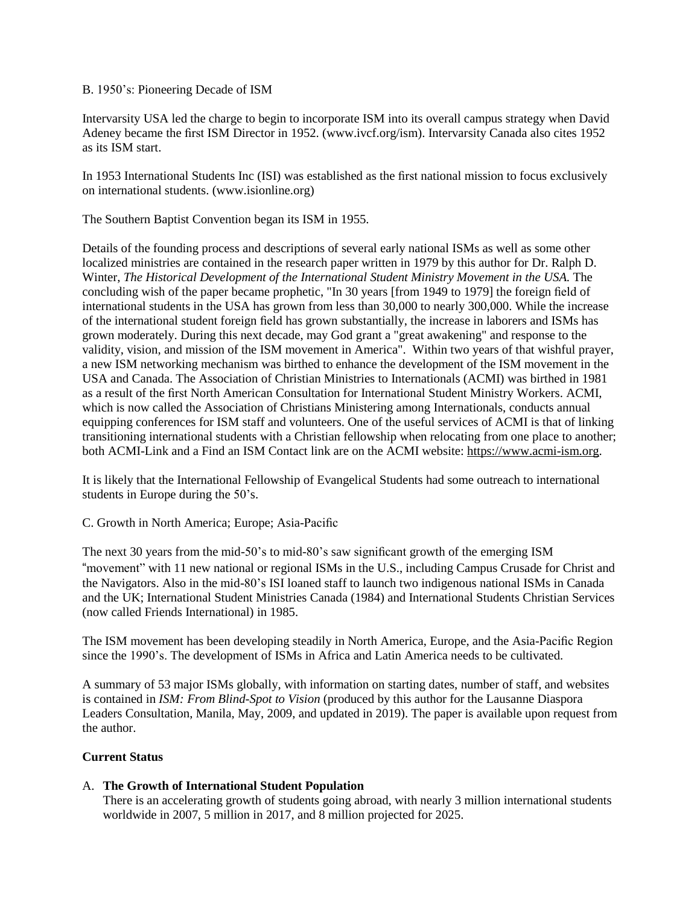#### B. 1950's: Pioneering Decade of ISM

Intervarsity USA led the charge to begin to incorporate ISM into its overall campus strategy when David Adeney became the first ISM Director in 1952. (www.ivcf.org/ism). Intervarsity Canada also cites 1952 as its ISM start.

In 1953 International Students Inc (ISI) was established as the first national mission to focus exclusively on international students. (www.isionline.org)

The Southern Baptist Convention began its ISM in 1955.

Details of the founding process and descriptions of several early national ISMs as well as some other localized ministries are contained in the research paper written in 1979 by this author for Dr. Ralph D. Winter, *The Historical Development of the International Student Ministry Movement in the USA.* The concluding wish of the paper became prophetic, "In 30 years [from 1949 to 1979] the foreign field of international students in the USA has grown from less than 30,000 to nearly 300,000. While the increase of the international student foreign field has grown substantially, the increase in laborers and ISMs has grown moderately. During this next decade, may God grant a "great awakening" and response to the validity, vision, and mission of the ISM movement in America". Within two years of that wishful prayer, a new ISM networking mechanism was birthed to enhance the development of the ISM movement in the USA and Canada. The Association of Christian Ministries to Internationals (ACMI) was birthed in 1981 as a result of the first North American Consultation for International Student Ministry Workers. ACMI, which is now called the Association of Christians Ministering among Internationals, conducts annual equipping conferences for ISM staff and volunteers. One of the useful services of ACMI is that of linking transitioning international students with a Christian fellowship when relocating from one place to another; both ACMI-Link and a Find an ISM Contact link are on the ACMI website: [https://www.acmi-ism.org.](https://www.acmi-ism.org/)

It is likely that the International Fellowship of Evangelical Students had some outreach to international students in Europe during the 50's.

C. Growth in North America; Europe; Asia-Pacific

The next 30 years from the mid-50's to mid-80's saw significant growth of the emerging ISM "movement" with 11 new national or regional ISMs in the U.S., including Campus Crusade for Christ and the Navigators. Also in the mid-80's ISI loaned staff to launch two indigenous national ISMs in Canada and the UK; International Student Ministries Canada (1984) and International Students Christian Services (now called Friends International) in 1985.

The ISM movement has been developing steadily in North America, Europe, and the Asia-Pacific Region since the 1990's. The development of ISMs in Africa and Latin America needs to be cultivated.

A summary of 53 major ISMs globally, with information on starting dates, number of staff, and websites is contained in *ISM: From Blind-Spot to Vision* (produced by this author for the Lausanne Diaspora Leaders Consultation, Manila, May, 2009, and updated in 2019). The paper is available upon request from the author.

### **Current Status**

### A. **The Growth of International Student Population**

There is an accelerating growth of students going abroad, with nearly 3 million international students worldwide in 2007, 5 million in 2017, and 8 million projected for 2025.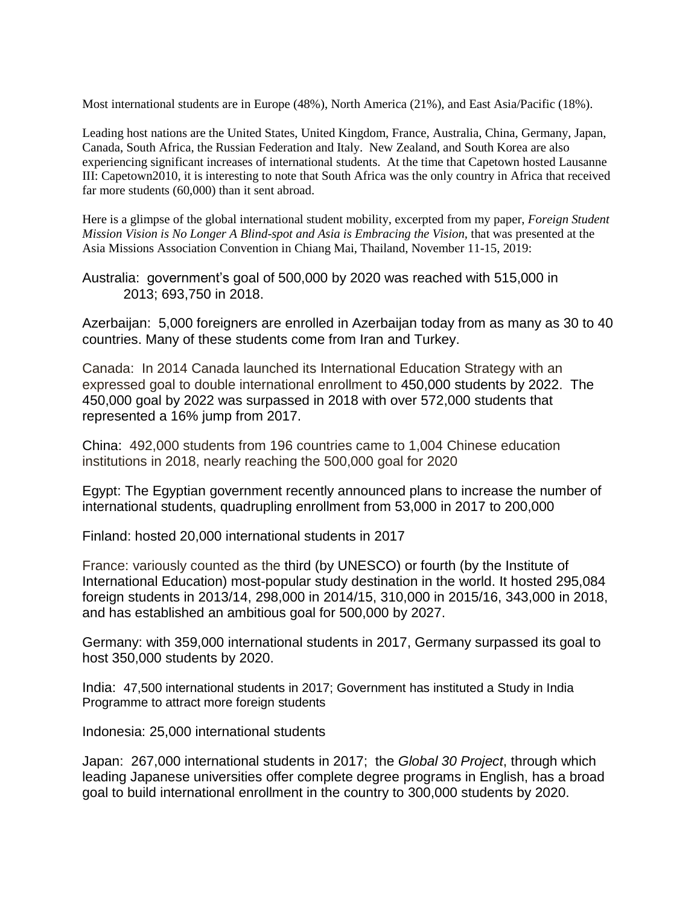Most international students are in Europe (48%), North America (21%), and East Asia/Pacific (18%).

Leading host nations are the United States, United Kingdom, France, Australia, China, Germany, Japan, Canada, South Africa, the Russian Federation and Italy. New Zealand, and South Korea are also experiencing significant increases of international students. At the time that Capetown hosted Lausanne III: Capetown2010, it is interesting to note that South Africa was the only country in Africa that received far more students (60,000) than it sent abroad.

Here is a glimpse of the global international student mobility, excerpted from my paper, *Foreign Student Mission Vision is No Longer A Blind-spot and Asia is Embracing the Vision,* that was presented at the Asia Missions Association Convention in Chiang Mai, Thailand, November 11-15, 2019:

Australia:government's goal of 500,000 by 2020 was reached with 515,000 in 2013; 693,750 in 2018.

Azerbaijan:5,000 foreigners are enrolled in Azerbaijan today from as many as 30 to 40 countries. Many of these students come from Iran and Turkey.

Canada:In 2014 Canada launched its International Education Strategy with an expressed goal to double international enrollment to 450,000 students by 2022. The 450,000 goal by 2022 was surpassed in 2018 with over 572,000 students that represented a 16% jump from 2017.

China: 492,000 students from 196 countries came to 1,004 Chinese education institutions in 2018, nearly reaching the 500,000 goal for 2020

Egypt: The Egyptian government recently announced plans to increase the number of international students, quadrupling enrollment from 53,000 in 2017 to 200,000

Finland: hosted 20,000 international students in 2017

France: variously counted as the third (by UNESCO) or fourth (by the Institute of International Education) most-popular study destination in the world. It hosted 295,084 foreign students in 2013/14, 298,000 in 2014/15, 310,000 in 2015/16, 343,000 in 2018, and has established an ambitious goal for 500,000 by 2027.

Germany: with 359,000 international students in 2017, Germany surpassed its goal to host 350,000 students by 2020.

India:47,500 international students in 2017; Government has instituted a Study in India Programme to attract more foreign students

Indonesia: 25,000 international students

Japan:267,000 international students in 2017; the *Global 30 Project*, through which leading Japanese universities offer complete degree programs in English, has a broad goal to build international enrollment in the country to 300,000 students by 2020.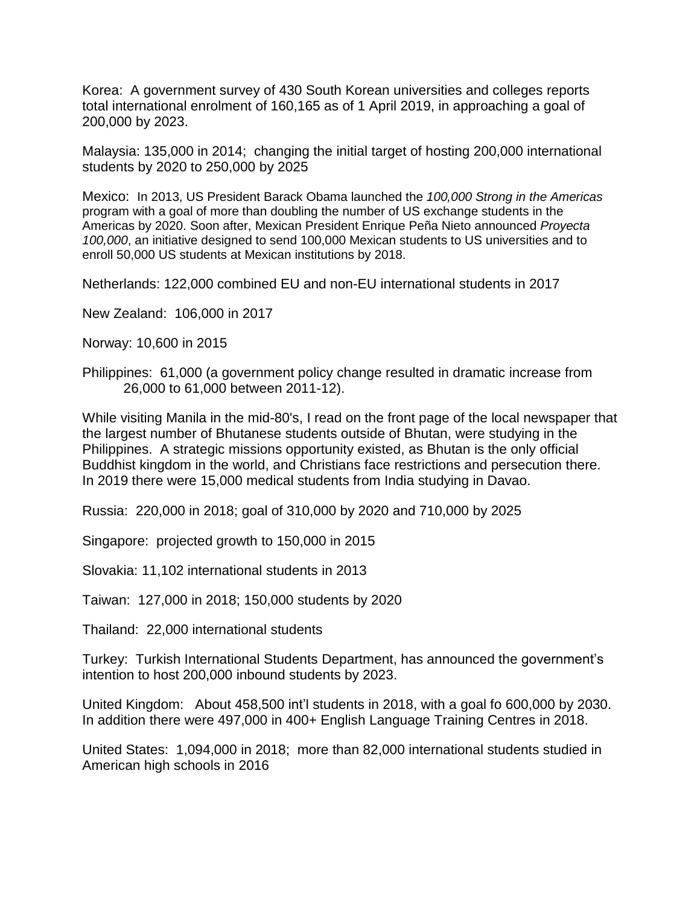Korea: A government survey of 430 South Korean universities and colleges reports total international enrolment of 160,165 as of 1 April 2019, in approaching a goal of 200,000 by 2023.

Malaysia: 135,000 in 2014; changing the initial target of hosting 200,000 international students by 2020 to 250,000 by 2025

Mexico: In 2013, US President Barack Obama launched the *100,000 Strong in the Americas* program with a goal of more than doubling the number of US exchange students in the Americas by 2020. Soon after, Mexican President Enrique Peña Nieto announced *Proyecta 100,000*, an initiative designed to send 100,000 Mexican students to US universities and to enroll 50,000 US students at Mexican institutions by 2018.

Netherlands: 122,000 combined EU and non-EU international students in 2017

New Zealand: 106,000 in 2017

Norway: 10,600 in 2015

Philippines:61,000 (a government policy change resulted in dramatic increase from 26,000 to 61,000 between 2011-12).

While visiting Manila in the mid-80's, I read on the front page of the local newspaper that the largest number of Bhutanese students outside of Bhutan, were studying in the Philippines. A strategic missions opportunity existed, as Bhutan is the only official Buddhist kingdom in the world, and Christians face restrictions and persecution there. In 2019 there were 15,000 medical students from India studying in Davao.

Russia:220,000 in 2018; goal of 310,000 by 2020 and 710,000 by 2025

Singapore:projected growth to 150,000 in 2015

Slovakia: 11,102 international students in 2013

Taiwan: 127,000 in 2018; 150,000 students by 2020

Thailand: 22,000 international students

Turkey: Turkish International Students Department, has announced the government's intention to host 200,000 inbound students by 2023.

United Kingdom:About 458,500 int'l students in 2018, with a goal fo 600,000 by 2030. In addition there were 497,000 in 400+ English Language Training Centres in 2018.

United States:1,094,000 in 2018; more than 82,000 international students studied in American high schools in 2016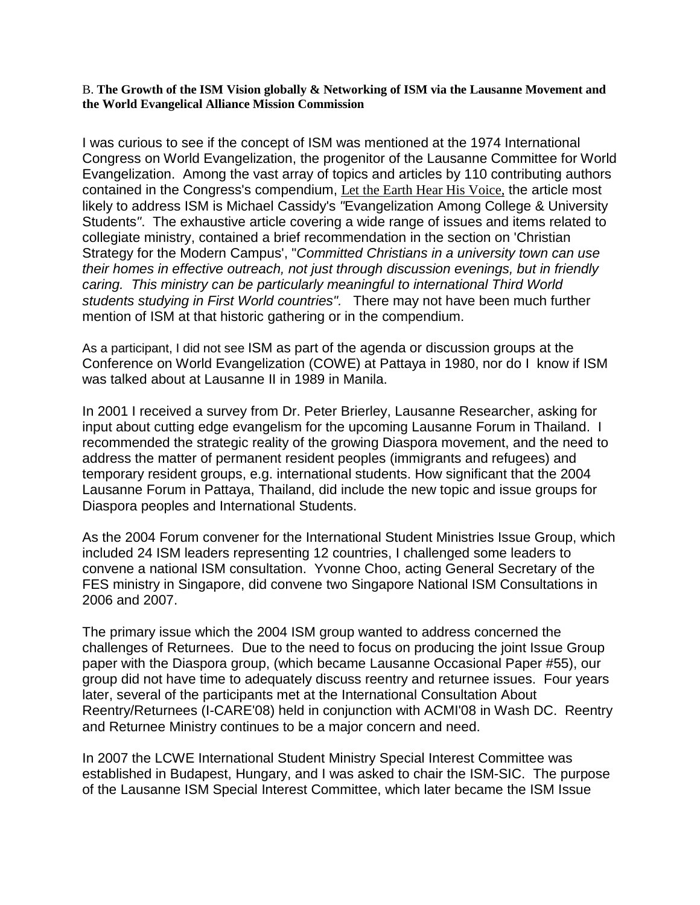B. **The Growth of the ISM Vision globally & Networking of ISM via the Lausanne Movement and the World Evangelical Alliance Mission Commission**

I was curious to see if the concept of ISM was mentioned at the 1974 International Congress on World Evangelization, the progenitor of the Lausanne Committee for World Evangelization. Among the vast array of topics and articles by 110 contributing authors contained in the Congress's compendium, Let the Earth Hear His Voice, the article most likely to address ISM is Michael Cassidy's *"*Evangelization Among College & University Students*"*. The exhaustive article covering a wide range of issues and items related to collegiate ministry, contained a brief recommendation in the section on 'Christian Strategy for the Modern Campus', "*Committed Christians in a university town can use their homes in effective outreach, not just through discussion evenings, but in friendly caring. This ministry can be particularly meaningful to international Third World students studying in First World countries".* There may not have been much further mention of ISM at that historic gathering or in the compendium.

As a participant, I did not see ISM as part of the agenda or discussion groups at the Conference on World Evangelization (COWE) at Pattaya in 1980, nor do I know if ISM was talked about at Lausanne II in 1989 in Manila.

In 2001 I received a survey from Dr. Peter Brierley, Lausanne Researcher, asking for input about cutting edge evangelism for the upcoming Lausanne Forum in Thailand. I recommended the strategic reality of the growing Diaspora movement, and the need to address the matter of permanent resident peoples (immigrants and refugees) and temporary resident groups, e.g. international students. How significant that the 2004 Lausanne Forum in Pattaya, Thailand, did include the new topic and issue groups for Diaspora peoples and International Students.

As the 2004 Forum convener for the International Student Ministries Issue Group, which included 24 ISM leaders representing 12 countries, I challenged some leaders to convene a national ISM consultation. Yvonne Choo, acting General Secretary of the FES ministry in Singapore, did convene two Singapore National ISM Consultations in 2006 and 2007.

The primary issue which the 2004 ISM group wanted to address concerned the challenges of Returnees. Due to the need to focus on producing the joint Issue Group paper with the Diaspora group, (which became Lausanne Occasional Paper #55), our group did not have time to adequately discuss reentry and returnee issues. Four years later, several of the participants met at the International Consultation About Reentry/Returnees (I-CARE'08) held in conjunction with ACMI'08 in Wash DC. Reentry and Returnee Ministry continues to be a major concern and need.

In 2007 the LCWE International Student Ministry Special Interest Committee was established in Budapest, Hungary, and I was asked to chair the ISM-SIC. The purpose of the Lausanne ISM Special Interest Committee, which later became the ISM Issue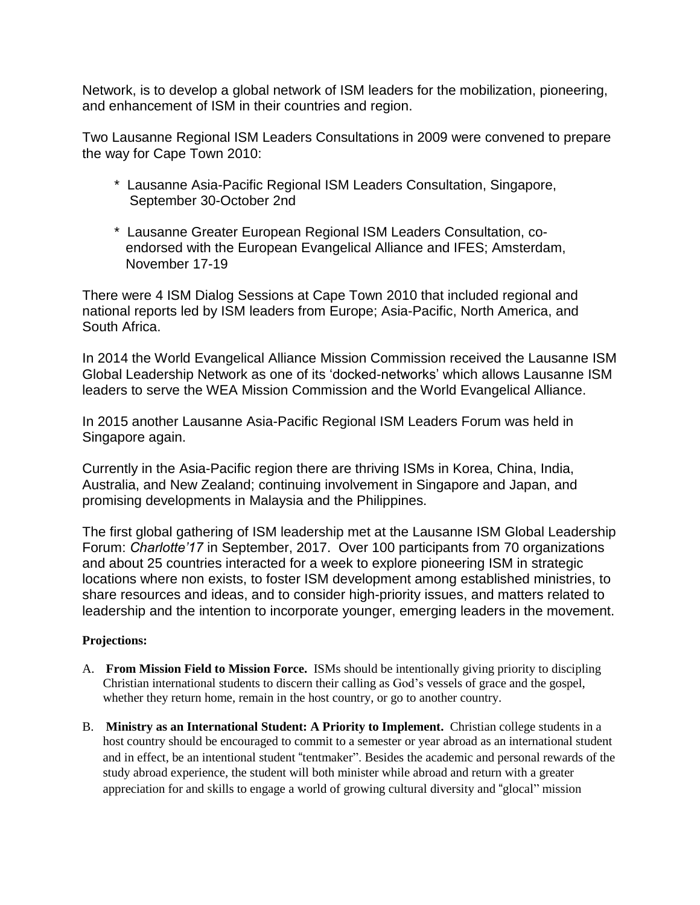Network, is to develop a global network of ISM leaders for the mobilization, pioneering, and enhancement of ISM in their countries and region.

Two Lausanne Regional ISM Leaders Consultations in 2009 were convened to prepare the way for Cape Town 2010:

- \* Lausanne Asia-Pacific Regional ISM Leaders Consultation, Singapore, September 30-October 2nd
- \* Lausanne Greater European Regional ISM Leaders Consultation, co endorsed with the European Evangelical Alliance and IFES; Amsterdam, November 17-19

There were 4 ISM Dialog Sessions at Cape Town 2010 that included regional and national reports led by ISM leaders from Europe; Asia-Pacific, North America, and South Africa.

In 2014 the World Evangelical Alliance Mission Commission received the Lausanne ISM Global Leadership Network as one of its 'docked-networks' which allows Lausanne ISM leaders to serve the WEA Mission Commission and the World Evangelical Alliance.

In 2015 another Lausanne Asia-Pacific Regional ISM Leaders Forum was held in Singapore again.

Currently in the Asia-Pacific region there are thriving ISMs in Korea, China, India, Australia, and New Zealand; continuing involvement in Singapore and Japan, and promising developments in Malaysia and the Philippines.

The first global gathering of ISM leadership met at the Lausanne ISM Global Leadership Forum: *Charlotte'17* in September, 2017. Over 100 participants from 70 organizations and about 25 countries interacted for a week to explore pioneering ISM in strategic locations where non exists, to foster ISM development among established ministries, to share resources and ideas, and to consider high-priority issues, and matters related to leadership and the intention to incorporate younger, emerging leaders in the movement.

# **Projections:**

- A. **From Mission Field to Mission Force.** ISMs should be intentionally giving priority to discipling Christian international students to discern their calling as God's vessels of grace and the gospel, whether they return home, remain in the host country, or go to another country.
- B. **Ministry as an International Student: A Priority to Implement.** Christian college students in a host country should be encouraged to commit to a semester or year abroad as an international student and in effect, be an intentional student "tentmaker". Besides the academic and personal rewards of the study abroad experience, the student will both minister while abroad and return with a greater appreciation for and skills to engage a world of growing cultural diversity and "glocal" mission